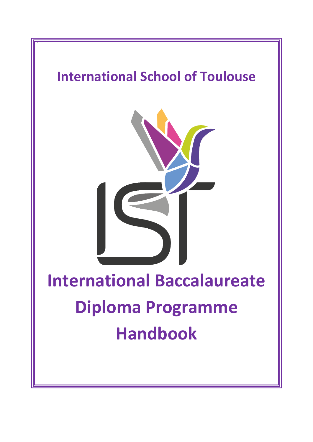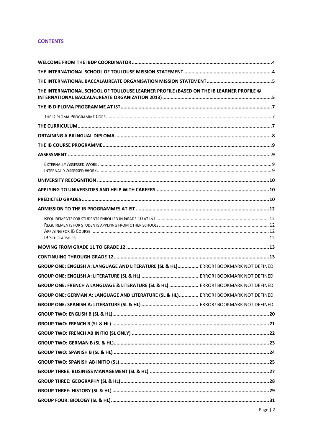# **CONTENTS**

| THE INTERNATIONAL SCHOOL OF TOULOUSE LEARNER PROFILE (BASED ON THE IB LEARNER PROFILE © |
|-----------------------------------------------------------------------------------------|
|                                                                                         |
|                                                                                         |
|                                                                                         |
|                                                                                         |
|                                                                                         |
|                                                                                         |
|                                                                                         |
|                                                                                         |
|                                                                                         |
|                                                                                         |
|                                                                                         |
|                                                                                         |
|                                                                                         |
|                                                                                         |
| GROUP ONE: ENGLISH A: LANGUAGE AND LITERATURE (SL & HL)  ERROR! BOOKMARK NOT DEFINED.   |
|                                                                                         |
| GROUP ONE: FRENCH A LANGUAGE & LITERATURE (SL & HL)  ERROR! BOOKMARK NOT DEFINED.       |
| GROUP ONE: GERMAN A: LANGUAGE AND LITERATURE (SL & HL)  ERROR! BOOKMARK NOT DEFINED.    |
|                                                                                         |
|                                                                                         |
|                                                                                         |
|                                                                                         |
|                                                                                         |
|                                                                                         |
|                                                                                         |
|                                                                                         |
|                                                                                         |
|                                                                                         |
|                                                                                         |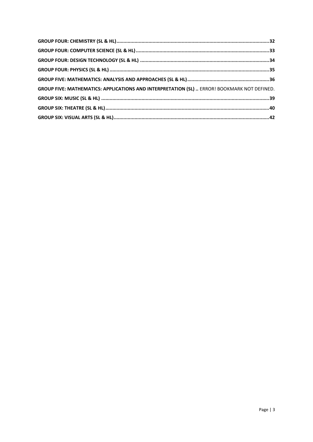| GROUP FIVE: MATHEMATICS: APPLICATIONS AND INTERPRETATION (SL)  ERROR! BOOKMARK NOT DEFINED. |  |
|---------------------------------------------------------------------------------------------|--|
|                                                                                             |  |
|                                                                                             |  |
|                                                                                             |  |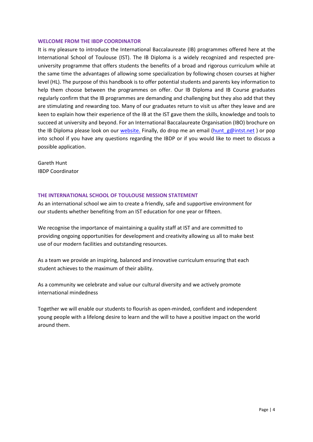#### <span id="page-3-0"></span>**WELCOME FROM THE IBDP COORDINATOR**

It is my pleasure to introduce the International Baccalaureate (IB) programmes offered here at the International School of Toulouse (IST). The IB Diploma is a widely recognized and respected preuniversity programme that offers students the benefits of a broad and rigorous curriculum while at the same time the advantages of allowing some specialization by following chosen courses at higher level (HL). The purpose of this handbook is to offer potential students and parents key information to help them choose between the programmes on offer. Our IB Diploma and IB Course graduates regularly confirm that the IB programmes are demanding and challenging but they also add that they are stimulating and rewarding too. Many of our graduates return to visit us after they leave and are keen to explain how their experience of the IB at the IST gave them the skills, knowledge and tools to succeed at university and beyond. For an International Baccalaureate Organisation (IBO) brochure on the IB Diploma please look on our [website.](http://moodle.intst.net/moodle/pluginfile.php/525/coursecat/description/IBDP_AP_EN.pdf) Finally, do drop me an email (hunt  $g\omega$ intst.net ) or pop into school if you have any questions regarding the IBDP or if you would like to meet to discuss a possible application.

Gareth Hunt IBDP Coordinator

# <span id="page-3-1"></span>**THE INTERNATIONAL SCHOOL OF TOULOUSE MISSION STATEMENT**

As an international school we aim to create a friendly, safe and supportive environment for our students whether benefiting from an IST education for one year or fifteen.

We recognise the importance of maintaining a quality staff at IST and are committed to providing ongoing opportunities for development and creativity allowing us all to make best use of our modern facilities and outstanding resources.

As a team we provide an inspiring, balanced and innovative curriculum ensuring that each student achieves to the maximum of their ability.

As a community we celebrate and value our cultural diversity and we actively promote international mindedness

Together we will enable our students to flourish as open-minded, confident and independent young people with a lifelong desire to learn and the will to have a positive impact on the world around them.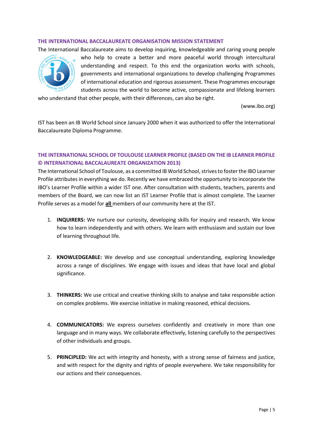#### <span id="page-4-0"></span>**THE INTERNATIONAL BACCALAUREATE ORGANISATION MISSION STATEMENT**

The International Baccalaureate aims to develop inquiring, knowledgeable and caring young people



who help to create a better and more peaceful world through intercultural understanding and respect. To this end the organization works with schools, governments and international organizations to develop challenging Programmes of international education and rigorous assessment. These Programmes encourage students across the world to become active, compassionate and lifelong learners

who understand that other people, with their differences, can also be right.

(www.ibo.org)

IST has been an IB World School since January 2000 when it was authorized to offer the International Baccalaureate Diploma Programme.

# <span id="page-4-1"></span>**THE INTERNATIONAL SCHOOL OF TOULOUSE LEARNER PROFILE (BASED ON THE IB LEARNER PROFILE © INTERNATIONAL BACCALAUREATE ORGANIZATION 2013)**

The International School of Toulouse, as a committed IB World School, strives to foster the IBO Learner Profile attributes in everything we do. Recently we have embraced the opportunity to incorporate the IBO's Learner Profile within a wider IST one. After consultation with students, teachers, parents and members of the Board, we can now list an IST Learner Profile that is almost complete. The Learner Profile serves as a model for **all** members of our community here at the IST.

- 1. **INQUIRERS:** We nurture our curiosity, developing skills for inquiry and research. We know how to learn independently and with others. We learn with enthusiasm and sustain our love of learning throughout life.
- 2. **KNOWLEDGEABLE:** We develop and use conceptual understanding, exploring knowledge across a range of disciplines. We engage with issues and ideas that have local and global significance.
- 3. **THINKERS:** We use critical and creative thinking skills to analyse and take responsible action on complex problems. We exercise initiative in making reasoned, ethical decisions.
- 4. **COMMUNICATORS:** We express ourselves confidently and creatively in more than one language and in many ways. We collaborate effectively, listening carefully to the perspectives of other individuals and groups.
- 5. **PRINCIPLED:** We act with integrity and honesty, with a strong sense of fairness and justice, and with respect for the dignity and rights of people everywhere. We take responsibility for our actions and their consequences.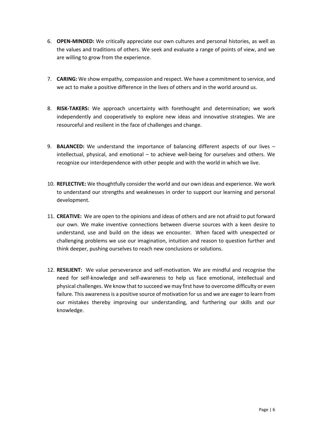- 6. **OPEN-MINDED:** We critically appreciate our own cultures and personal histories, as well as the values and traditions of others. We seek and evaluate a range of points of view, and we are willing to grow from the experience.
- 7. **CARING:** We show empathy, compassion and respect. We have a commitment to service, and we act to make a positive difference in the lives of others and in the world around us.
- 8. **RISK-TAKERS:** We approach uncertainty with forethought and determination; we work independently and cooperatively to explore new ideas and innovative strategies. We are resourceful and resilient in the face of challenges and change.
- 9. **BALANCED:** We understand the importance of balancing different aspects of our lives intellectual, physical, and emotional – to achieve well-being for ourselves and others. We recognize our interdependence with other people and with the world in which we live.
- 10. **REFLECTIVE:** We thoughtfully consider the world and our own ideas and experience. We work to understand our strengths and weaknesses in order to support our learning and personal development.
- 11. **CREATIVE:** We are open to the opinions and ideas of others and are not afraid to put forward our own. We make inventive connections between diverse sources with a keen desire to understand, use and build on the ideas we encounter. When faced with unexpected or challenging problems we use our imagination, intuition and reason to question further and think deeper, pushing ourselves to reach new conclusions or solutions.
- 12. **RESILIENT:** We value perseverance and self-motivation. We are mindful and recognise the need for self-knowledge and self-awareness to help us face emotional, intellectual and physical challenges. We know that to succeed we may first have to overcome difficulty or even failure. This awareness is a positive source of motivation for us and we are eager to learn from our mistakes thereby improving our understanding, and furthering our skills and our knowledge.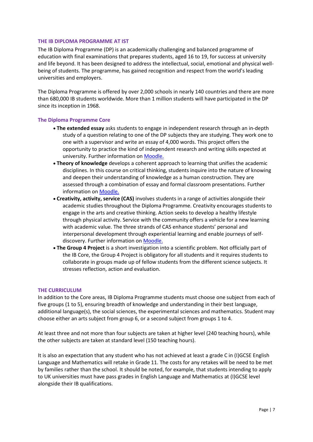#### <span id="page-6-0"></span>**THE IB DIPLOMA PROGRAMME AT IST**

The IB Diploma Programme (DP) is an academically challenging and balanced programme of education with final examinations that prepares students, aged 16 to 19, for success at university and life beyond. It has been designed to address the intellectual, social, emotional and physical wellbeing of students. The programme, has gained recognition and respect from the world's leading universities and employers.

The Diploma Programme is offered by over 2,000 schools in nearly 140 countries and there are more than 680,000 IB students worldwide. More than 1 million students will have participated in the DP since its inception in 1968.

#### <span id="page-6-1"></span>**The Diploma Programme Core**

- **The extended essay** asks students to engage in independent research through an in-depth study of a question relating to one of the DP subjects they are studying. They work one to one with a supervisor and write an essay of 4,000 words. This project offers the opportunity to practice the kind of independent research and writing skills expected at university. Further information on **Moodle**.
- **Theory of knowledge** develops a coherent approach to learning that unifies the academic disciplines. In this course on critical thinking, students inquire into the nature of knowing and deepen their understanding of knowledge as a human construction. They are assessed through a combination of essay and formal classroom presentations. Further information on [Moodle.](http://moodle.intst.net/moodle/course/index.php?categoryid=63)
- **Creativity, activity, service (CAS)** involves students in a range of activities alongside their academic studies throughout the Diploma Programme. Creativity encourages students to engage in the arts and creative thinking. Action seeks to develop a healthy lifestyle through physical activity. Service with the community offers a vehicle for a new learning with academic value. The three strands of CAS enhance students' personal and interpersonal development through experiential learning and enable journeys of selfdiscovery. Further information o[n Moodle.](http://moodle.intst.net/moodle/course/index.php?categoryid=61)
- **The Group 4 Project** is a short investigation into a scientific problem. Not officially part of the IB Core, the Group 4 Project is obligatory for all students and it requires students to collaborate in groups made up of fellow students from the different science subjects. It stresses reflection, action and evaluation.

#### <span id="page-6-2"></span>**THE CURRICULUM**

In addition to the Core areas, IB Diploma Programme students must choose one subject from each of five groups (1 to 5), ensuring breadth of knowledge and understanding in their best language, additional language(s), the social sciences, the experimental sciences and mathematics. Student may choose either an arts subject from group 6, or a second subject from groups 1 to 4.

At least three and not more than four subjects are taken at higher level (240 teaching hours), while the other subjects are taken at standard level (150 teaching hours).

It is also an expectation that any student who has not achieved at least a grade C in (I)GCSE English Language and Mathematics will retake in Grade 11. The costs for any retakes will be need to be met by families rather than the school. It should be noted, for example, that students intending to apply to UK universities must have pass grades in English Language and Mathematics at (I)GCSE level alongside their IB qualifications.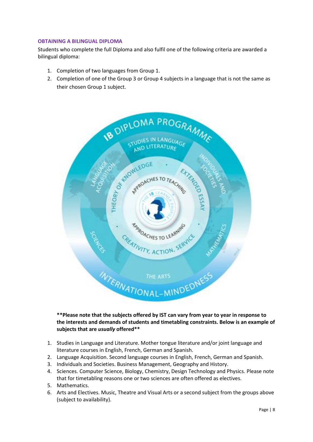# <span id="page-7-0"></span>**OBTAINING A BILINGUAL DIPLOMA**

Students who complete the full Diploma and also fulfil one of the following criteria are awarded a bilingual diploma:

- 1. Completion of two languages from Group 1.
- 2. Completion of one of the Group 3 or Group 4 subjects in a language that is not the same as their chosen Group 1 subject.



# **\*\*Please note that the subjects offered by IST can vary from year to year in response to the interests and demands of students and timetabling constraints. Below is an example of subjects that are** *usually* **offered\*\***

- 1. Studies in Language and Literature. Mother tongue literature and/or joint language and literature courses in English, French, German and Spanish.
- 2. Language Acquisition. Second language courses in English, French, German and Spanish.
- 3. Individuals and Societies. Business Management, Geography and History.
- 4. Sciences. Computer Science, Biology, Chemistry, Design Technology and Physics. Please note that for timetabling reasons one or two sciences are often offered as electives.
- 5. Mathematics.
- 6. Arts and Electives. Music, Theatre and Visual Arts or a second subject from the groups above (subject to availability).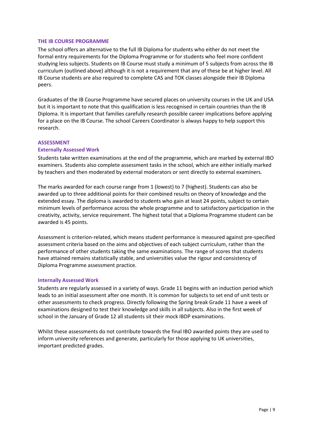#### <span id="page-8-0"></span>**THE IB COURSE PROGRAMME**

The school offers an alternative to the full IB Diploma for students who either do not meet the formal entry requirements for the Diploma Programme or for students who feel more confident studying less subjects. Students on IB Course must study a minimum of 5 subjects from across the IB curriculum (outlined above) although it is not a requirement that any of these be at higher level. All IB Course students are also required to complete CAS and TOK classes alongside their IB Diploma peers.

Graduates of the IB Course Programme have secured places on university courses in the UK and USA but it is important to note that this qualification is less recognised in certain countries than the IB Diploma. It is important that families carefully research possible career implications before applying for a place on the IB Course. The school Careers Coordinator is always happy to help support this research.

# <span id="page-8-1"></span>**ASSESSMENT**

# <span id="page-8-2"></span>**Externally Assessed Work**

Students take written examinations at the end of the programme, which are marked by external IBO examiners. Students also complete assessment tasks in the school, which are either initially marked by teachers and then moderated by external moderators or sent directly to external examiners.

The marks awarded for each course range from 1 (lowest) to 7 (highest). Students can also be awarded up to three additional points for their combined results on theory of knowledge and the extended essay. The diploma is awarded to students who gain at least 24 points, subject to certain minimum levels of performance across the whole programme and to satisfactory participation in the creativity, activity, service requirement. The highest total that a Diploma Programme student can be awarded is 45 points.

Assessment is criterion-related, which means student performance is measured against pre-specified assessment criteria based on the aims and objectives of each subject curriculum, rather than the performance of other students taking the same examinations. The range of scores that students have attained remains statistically stable, and universities value the rigour and consistency of Diploma Programme assessment practice.

#### <span id="page-8-3"></span>**Internally Assessed Work**

Students are regularly assessed in a variety of ways. Grade 11 begins with an induction period which leads to an initial assessment after one month. It is common for subjects to set end of unit tests or other assessments to check progress. Directly following the Spring break Grade 11 have a week of examinations designed to test their knowledge and skills in all subjects. Also in the first week of school in the January of Grade 12 all students sit their mock IBDP examinations.

Whilst these assessments do not contribute towards the final IBO awarded points they are used to inform university references and generate, particularly for those applying to UK universities, important predicted grades.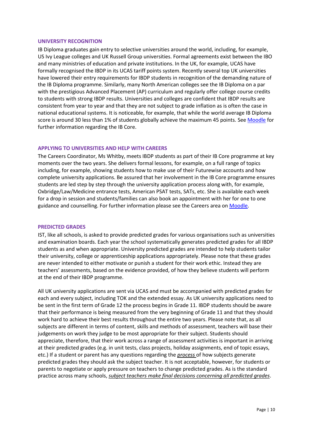#### <span id="page-9-0"></span>**UNIVERSITY RECOGNITION**

IB Diploma graduates gain entry to selective universities around the world, including, for example, US Ivy League colleges and UK Russell Group universities. Formal agreements exist between the IBO and many ministries of education and private institutions. In the UK, for example, UCAS have formally recognised the IBDP in its UCAS tariff points system. Recently several top UK universities have lowered their entry requirements for IBDP students in recognition of the demanding nature of the IB Diploma programme. Similarly, many North American colleges see the IB Diploma on a par with the prestigious Advanced Placement (AP) curriculum and regularly offer college course credits to students with strong IBDP results. Universities and colleges are confident that IBDP results are consistent from year to year and that they are not subject to grade inflation as is often the case in national educational systems. It is noticeable, for example, that while the world average IB Diploma score is around 30 less than 1% of students globally achieve the maximum 45 points. Se[e Moodle](http://moodle.intst.net/moodle/course/index.php?categoryid=19) for further information regarding the IB Core.

# <span id="page-9-1"></span>**APPLYING TO UNIVERSITIES AND HELP WITH CAREERS**

The Careers Coordinator, Ms Whitby, meets IBDP students as part of their IB Core programme at key moments over the two years. She delivers formal lessons, for example, on a full range of topics including, for example, showing students how to make use of their Futurewise accounts and how complete university applications. Be assured that her involvement in the IB Core programme ensures students are led step by step through the university application process along with, for example, Oxbridge/Law/Medicine entrance tests, American PSAT tests, SATs, etc. She is available each week for a drop in session and students/families can also book an appointment with her for one to one guidance and counselling. For further information please see the Careers area on [Moodle.](http://moodle.intst.net/moodle/course/index.php?categoryid=14)

#### <span id="page-9-2"></span>**PREDICTED GRADES**

IST, like all schools, is asked to provide predicted grades for various organisations such as universities and examination boards. Each year the school systematically generates predicted grades for all IBDP students as and when appropriate. University predicted grades are intended to help students tailor their university, college or apprenticeship applications appropriately. Please note that these grades are never intended to either motivate or punish a student for their work ethic. Instead they are teachers' assessments, based on the evidence provided, of how they believe students will perform at the end of their IBDP programme.

All UK university applications are sent via UCAS and must be accompanied with predicted grades for each and every subject, including TOK and the extended essay. As UK university applications need to be sent in the first term of Grade 12 the process begins in Grade 11. IBDP students should be aware that their performance is being measured from the very beginning of Grade 11 and that they should work hard to achieve their best results throughout the entire two years. Please note that, as all subjects are different in terms of content, skills and methods of assessment, teachers will base their judgements on work they judge to be most appropriate for their subject. Students should appreciate, therefore, that their work across a range of assessment activities is important in arriving at their predicted grades (e.g. in unit tests, class projects, holiday assignments, end of topic essays, etc.) If a student or parent has any questions regarding the *process* of how subjects generate predicted grades they should ask the subject teacher. It is not acceptable, however, for students or parents to negotiate or apply pressure on teachers to change predicted grades. As is the standard practice across many schools, *subject teachers make final decisions concerning all predicted grades*.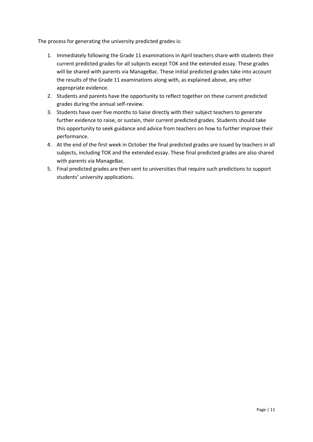The process for generating the university predicted grades is:

- 1. Immediately following the Grade 11 examinations in April teachers share with students their current predicted grades for all subjects except TOK and the extended essay. These grades will be shared with parents via ManageBac. These initial predicted grades take into account the results of the Grade 11 examinations along with, as explained above, any other appropriate evidence.
- 2. Students and parents have the opportunity to reflect together on these current predicted grades during the annual self-review.
- 3. Students have over five months to liaise directly with their subject teachers to generate further evidence to raise, or sustain, their current predicted grades. Students should take this opportunity to seek guidance and advice from teachers on how to further improve their performance.
- 4. At the end of the first week in October the final predicted grades are issued by teachers in all subjects, including TOK and the extended essay. These final predicted grades are also shared with parents via ManageBac.
- 5. Final predicted grades are then sent to universities that require such predictions to support students' university applications.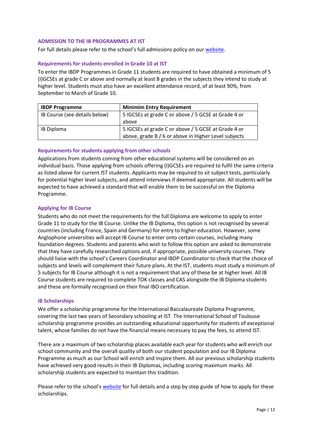#### <span id="page-11-0"></span>**ADMISSION TO THE IB PROGRAMMES AT IST**

For full details please refer to the school's full admissions policy on ou[r website.](http://intst.eu/mod/resource/view.php?id=14236)

#### <span id="page-11-1"></span>**Requirements for students enrolled in Grade 10 at IST**

To enter the IBDP Programmes in Grade 11 students are required to have obtained a minimum of 5 (I)GCSEs at grade C or above and normally at least B grades in the subjects they intend to study at higher level. Students must also have an excellent attendance record, of at least 90%, from September to March of Grade 10.

| <b>IBDP Programme</b>         | <b>Minimim Entry Requirement</b>                     |  |
|-------------------------------|------------------------------------------------------|--|
| IB Course (see details below) | 5 IGCSEs at grade C or above / 5 GCSE at Grade 4 or  |  |
|                               | above                                                |  |
| <b>IB Diploma</b>             | 5 IGCSEs at grade C or above / 5 GCSE at Grade 4 or  |  |
|                               | above, grade B / 6 or above in Higher Level subjects |  |

# <span id="page-11-2"></span>**Requirements for students applying from other schools**

Applications from students coming from other educational systems will be considered on an individual basis. Those applying from schools offering (I)GCSEs are required to fulfil the same criteria as listed above for current IST students. Applicants may be required to sit subject tests, particularly for potential higher level subjects, and attend interviews if deemed appropriate. All students will be expected to have achieved a standard that will enable them to be successful on the Diploma Programme.

# <span id="page-11-3"></span>**Applying for IB Course**

Students who do not meet the requirements for the full Diploma are welcome to apply to enter Grade 11 to study for the IB Course. Unlike the IB Diploma, this option is not recognised by several countries (including France, Spain and Germany) for entry to higher education. However, some Anglophone universities will accept IB Course to enter onto certain courses, including many foundation degrees. Students and parents who wish to follow this option are asked to demonstrate that they have carefully researched options and, if appropriate, possible university courses. They should liaise with the school's Careers Coordinator and IBDP Coordinator to check that the choice of subjects and levels will complement their future plans. At the IST, students must study a minimum of 5 subjects for IB Course although it is not a requirement that any of these be at higher level. All IB Course students are required to complete TOK classes and CAS alongside the IB Diploma students and these are formally recognised on their final IBO certification.

#### <span id="page-11-4"></span>**IB Scholarships**

We offer a scholarship programme for the International Baccalaureate Diploma Programme, covering the last two years of Secondary schooling at IST. The International School of Toulouse scholarship programme provides an outstanding educational opportunity for students of exceptional talent, whose families do not have the financial means necessary to pay the fees, to attend IST.

There are a maximum of two scholarship places available each year for students who will enrich our school community and the overall quality of both our student population and our IB Diploma Programme as much as our School will enrich and inspire them. All our previous scholarship students have achieved very good results in their IB Diplomas, including scoring maximum marks. All scholarship students are expected to maintain this tradition.

Please refer to the school's [website](http://intst.eu/mod/resource/view.php?id=340) for full details and a step by step guide of how to apply for these scholarships.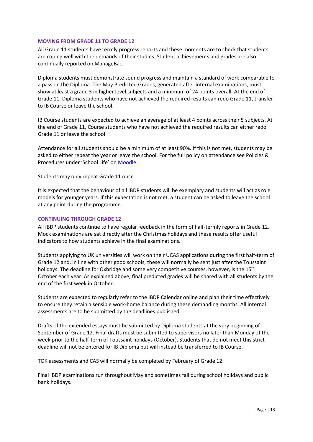#### <span id="page-12-0"></span>**MOVING FROM GRADE 11 TO GRADE 12**

All Grade 11 students have termly progress reports and these moments are to check that students are coping well with the demands of their studies. Student achievements and grades are also continually reported on ManageBac.

Diploma students must demonstrate sound progress and maintain a standard of work comparable to a pass on the Diploma. The May Predicted Grades, generated after internal examinations, must show at least a grade 3 in higher level subjects and a minimum of 24 points overall. At the end of Grade 11, Diploma students who have not achieved the required results can redo Grade 11, transfer to IB Course or leave the school.

IB Course students are expected to achieve an average of at least 4 points across their 5 subjects. At the end of Grade 11, Course students who have not achieved the required results can either redo Grade 11 or leave the school.

Attendance for all students should be a minimum of at least 90%. If this is not met, students may be asked to either repeat the year or leave the school. For the full policy on attendance see Policies & Procedures under 'School Life' on [Moodle.](http://moodle.intst.net/moodle/pluginfile.php/21401/mod_resource/content/1/Attendance%20and%20Punctuality%20Policy.pdf)

Students may only repeat Grade 11 once.

It is expected that the behaviour of all IBDP students will be exemplary and students will act as role models for younger years. If this expectation is not met, a student can be asked to leave the school at any point during the programme.

# <span id="page-12-1"></span>**CONTINUING THROUGH GRADE 12**

All IBDP students continue to have regular feedback in the form of half-termly reports in Grade 12. Mock examinations are sat directly after the Christmas holidays and these results offer useful indicators to how students achieve in the final examinations.

Students applying to UK universities will work on their UCAS applications during the first half-term of Grade 12 and, in line with other good schools, these will normally be sent just after the Toussaint holidays. The deadline for Oxbridge and some very competitive courses, however, is the 15<sup>th</sup> October each year. As explained above, final predicted grades will be shared with all students by the end of the first week in October.

Students are expected to regularly refer to the IBDP Calendar online and plan their time effectively to ensure they retain a sensible work-home balance during these demanding months. All internal assessments are to be submitted by the deadlines published.

Drafts of the extended essays must be submitted by Diploma students at the very beginning of September of Grade 12. Final drafts must be submitted to supervisors no later than Monday of the week prior to the half-term of Toussaint holidays (October). Students that do not meet this strict deadline will not be entered for IB Diploma but will instead be transferred to IB Course.

TOK assessments and CAS will normally be completed by February of Grade 12.

Final IBDP examinations run throughout May and sometimes fall during school holidays and public bank holidays.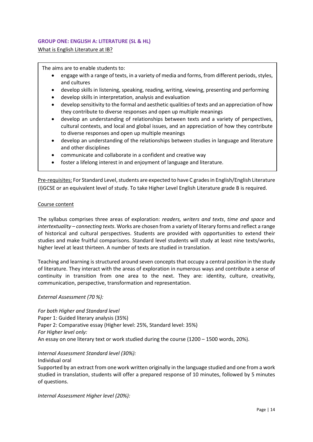#### **GROUP ONE: ENGLISH A: LITERATURE (SL & HL)**

What is English Literature at IB?

The aims are to enable students to:

- engage with a range of texts, in a variety of media and forms, from different periods, styles, and cultures
- develop skills in listening, speaking, reading, writing, viewing, presenting and performing
- develop skills in interpretation, analysis and evaluation
- develop sensitivity to the formal and aesthetic qualities of texts and an appreciation of how they contribute to diverse responses and open up multiple meanings
- develop an understanding of relationships between texts and a variety of perspectives, cultural contexts, and local and global issues, and an appreciation of how they contribute to diverse responses and open up multiple meanings
- develop an understanding of the relationships between studies in language and literature and other disciplines
- communicate and collaborate in a confident and creative way
- foster a lifelong interest in and enjoyment of language and literature.

Pre-requisites: For Standard Level, students are expected to have C grades in English/English Literature (I)GCSE or an equivalent level of study. To take Higher Level English Literature grade B is required.

#### Course content

The syllabus comprises three areas of exploration: *readers, writers and texts*, *time and space* and *intertextuality – connecting texts*. Works are chosen from a variety of literary forms and reflect a range of historical and cultural perspectives. Students are provided with opportunities to extend their studies and make fruitful comparisons. Standard level students will study at least nine texts/works, higher level at least thirteen. A number of texts are studied in translation.

Teaching and learning is structured around seven concepts that occupy a central position in the study of literature. They interact with the areas of exploration in numerous ways and contribute a sense of continuity in transition from one area to the next. They are: identity, culture, creativity, communication, perspective, transformation and representation.

*External Assessment (70 %):* 

*For both Higher and Standard level* Paper 1: Guided literary analysis (35%) Paper 2: Comparative essay (Higher level: 25%, Standard level: 35%) *For Higher level only:* An essay on one literary text or work studied during the course (1200 – 1500 words, 20%).

*Internal Assessment Standard level (30%):* 

Individual oral

Supported by an extract from one work written originally in the language studied and one from a work studied in translation, students will offer a prepared response of 10 minutes, followed by 5 minutes of questions.

*Internal Assessment Higher level (20%):*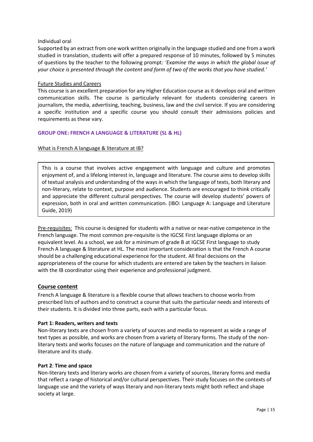#### Individual oral

Supported by an extract from one work written originally in the language studied and one from a work studied in translation, students will offer a prepared response of 10 minutes, followed by 5 minutes of questions by the teacher to the following prompt*: 'Examine the ways in which the global issue of your choice is presented through the content and form of two of the works that you have studied.'*

#### Future Studies and Careers

This course is an excellent preparation for any Higher Education course as it develops oral and written communication skills. The course is particularly relevant for students considering careers in journalism, the media, advertising, teaching, business, law and the civil service. If you are considering a specific institution and a specific course you should consult their admissions policies and requirements as these vary.

# **GROUP ONE: FRENCH A LANGUAGE & LITERATURE (SL & HL)**

# What is French A language & literature at IB?

This is a course that involves active engagement with language and culture and promotes enjoyment of, and a lifelong interest in, language and literature. The course aims to develop skills of textual analysis and understanding of the ways in which the language of texts, both literary and non-literary, relate to context, purpose and audience. Students are encouraged to think critically and appreciate the different cultural perspectives. The course will develop students' powers of expression, both in oral and written communication. (IBO: Language A: Language and Literature Guide, 2019)

Pre-requisites: This course is designed for students with a native or near-native competence in the French language. The most common pre-requisite is the IGCSE First language diploma or an equivalent level. As a school, we ask for a minimum of grade B at IGCSE First language to study French A language & literature at HL. The most important consideration is that the French A course should be a challenging educational experience for the student. All final decisions on the appropriateness of the course for which students are entered are taken by the teachers in liaison with the IB coordinator using their experience and professional judgment.

# **Course content**

French A language & literature is a flexible course that allows teachers to choose works from prescribed lists of authors and to construct a course that suits the particular needs and interests of their students. It is divided into three parts, each with a particular focus.

#### **Part 1: Readers, writers and texts**

Non-literary texts are chosen from a variety of sources and media to represent as wide a range of text types as possible, and works are chosen from a variety of literary forms. The study of the nonliterary texts and works focuses on the nature of language and communication and the nature of literature and its study.

#### **Part 2**: **Time and space**

Non-literary texts and literary works are chosen from a variety of sources, literary forms and media that reflect a range of historical and/or cultural perspectives. Their study focuses on the contexts of language use and the variety of ways literary and non-literary texts might both reflect and shape society at large.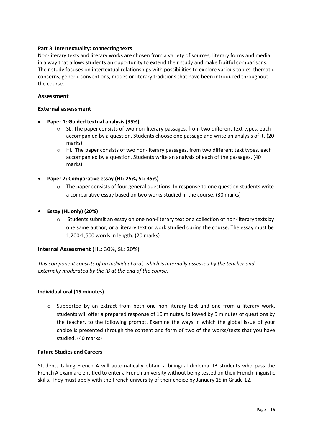# **Part 3: Intertextuality: connecting texts**

Non-literary texts and literary works are chosen from a variety of sources, literary forms and media in a way that allows students an opportunity to extend their study and make fruitful comparisons. Their study focuses on intertextual relationships with possibilities to explore various topics, thematic concerns, generic conventions, modes or literary traditions that have been introduced throughout the course.

# **Assessment**

# **External assessment**

- **Paper 1: Guided textual analysis (35%)**
	- $\circ$  SL. The paper consists of two non-literary passages, from two different text types, each accompanied by a question. Students choose one passage and write an analysis of it. (20 marks)
	- $\circ$  HL. The paper consists of two non-literary passages, from two different text types, each accompanied by a question. Students write an analysis of each of the passages. (40 marks)
- **Paper 2: Comparative essay (HL: 25%, SL: 35%)**
	- $\circ$  The paper consists of four general questions. In response to one question students write a comparative essay based on two works studied in the course. (30 marks)
- **Essay (HL only) (20%)**
	- o Students submit an essay on one non-literary text or a collection of non-literary texts by one same author, or a literary text or work studied during the course. The essay must be 1,200-1,500 words in length. (20 marks)

# **Internal Assessment** (HL: 30%, SL: 20%)

*This component consists of an individual oral, which is internally assessed by the teacher and externally moderated by the IB at the end of the course.*

# **Individual oral (15 minutes)**

 $\circ$  Supported by an extract from both one non-literary text and one from a literary work, students will offer a prepared response of 10 minutes, followed by 5 minutes of questions by the teacher, to the following prompt. Examine the ways in which the global issue of your choice is presented through the content and form of two of the works/texts that you have studied. (40 marks)

# **Future Studies and Careers**

Students taking French A will automatically obtain a bilingual diploma. IB students who pass the French A exam are entitled to enter a French university without being tested on their French linguistic skills. They must apply with the French university of their choice by January 15 in Grade 12.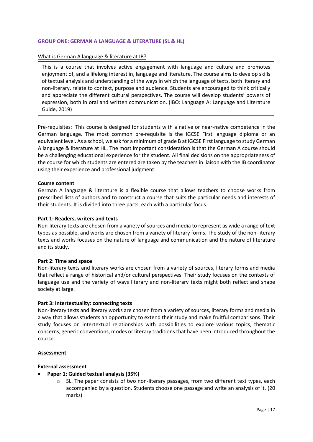#### **GROUP ONE: GERMAN A LANGUAGE & LITERATURE (SL & HL)**

#### What is German A language & literature at IB?

This is a course that involves active engagement with language and culture and promotes enjoyment of, and a lifelong interest in, language and literature. The course aims to develop skills of textual analysis and understanding of the ways in which the language of texts, both literary and non-literary, relate to context, purpose and audience. Students are encouraged to think critically and appreciate the different cultural perspectives. The course will develop students' powers of expression, both in oral and written communication. (IBO: Language A: Language and Literature Guide, 2019)

Pre-requisites: This course is designed for students with a native or near-native competence in the German language. The most common pre-requisite is the IGCSE First language diploma or an equivalent level. As a school, we ask for a minimum of grade B at IGCSE First language to study German A language & literature at HL. The most important consideration is that the German A course should be a challenging educational experience for the student. All final decisions on the appropriateness of the course for which students are entered are taken by the teachers in liaison with the IB coordinator using their experience and professional judgment.

#### **Course content**

German A language & literature is a flexible course that allows teachers to choose works from prescribed lists of authors and to construct a course that suits the particular needs and interests of their students. It is divided into three parts, each with a particular focus.

#### **Part 1: Readers, writers and texts**

Non-literary texts are chosen from a variety of sources and media to represent as wide a range of text types as possible, and works are chosen from a variety of literary forms. The study of the non-literary texts and works focuses on the nature of language and communication and the nature of literature and its study.

#### **Part 2**: **Time and space**

Non-literary texts and literary works are chosen from a variety of sources, literary forms and media that reflect a range of historical and/or cultural perspectives. Their study focuses on the contexts of language use and the variety of ways literary and non-literary texts might both reflect and shape society at large.

#### **Part 3: Intertextuality: connecting texts**

Non-literary texts and literary works are chosen from a variety of sources, literary forms and media in a way that allows students an opportunity to extend their study and make fruitful comparisons. Their study focuses on intertextual relationships with possibilities to explore various topics, thematic concerns, generic conventions, modes or literary traditions that have been introduced throughout the course.

#### **Assessment**

#### **External assessment**

- **Paper 1: Guided textual analysis (35%)**
	- SL. The paper consists of two non-literary passages, from two different text types, each accompanied by a question. Students choose one passage and write an analysis of it. (20 marks)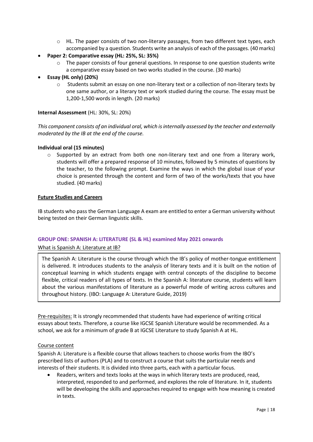- $\circ$  HL. The paper consists of two non-literary passages, from two different text types, each accompanied by a question. Students write an analysis of each of the passages. (40 marks)
- **Paper 2: Comparative essay (HL: 25%, SL: 35%)**
	- o The paper consists of four general questions. In response to one question students write a comparative essay based on two works studied in the course. (30 marks)
- **Essay (HL only) (20%)**
	- o Students submit an essay on one non-literary text or a collection of non-literary texts by one same author, or a literary text or work studied during the course. The essay must be 1,200-1,500 words in length. (20 marks)

#### **Internal Assessment** (HL: 30%, SL: 20%)

*This component consists of an individual oral, which is internally assessed by the teacher and externally moderated by the IB at the end of the course.*

#### **Individual oral (15 minutes)**

 $\circ$  Supported by an extract from both one non-literary text and one from a literary work, students will offer a prepared response of 10 minutes, followed by 5 minutes of questions by the teacher, to the following prompt. Examine the ways in which the global issue of your choice is presented through the content and form of two of the works/texts that you have studied. (40 marks)

#### **Future Studies and Careers**

IB students who pass the German Language A exam are entitled to enter a German university without being tested on their German linguistic skills.

#### **GROUP ONE: SPANISH A: LITERATURE (SL & HL) examined May 2021 onwards**

What is Spanish A: Literature at IB?

The Spanish A: Literature is the course through which the IB's policy of mother-tongue entitlement is delivered. It introduces students to the analysis of literary texts and it is built on the notion of conceptual learning in which students engage with central concepts of the discipline to become flexible, critical readers of all types of texts. In the Spanish A: literature course, students will learn about the various manifestations of literature as a powerful mode of writing across cultures and throughout history. (IBO: Language A: Literature Guide, 2019)

Pre-requisites: It is strongly recommended that students have had experience of writing critical essays about texts. Therefore, a course like IGCSE Spanish Literature would be recommended. As a school, we ask for a minimum of grade B at IGCSE Literature to study Spanish A at HL.

#### Course content

Spanish A: Literature is a flexible course that allows teachers to choose works from the IBO's prescribed lists of authors (PLA) and to construct a course that suits the particular needs and interests of their students. It is divided into three parts, each with a particular focus.

• Readers, writers and texts looks at the ways in which literary texts are produced, read, interpreted, responded to and performed, and explores the role of literature. In it, students will be developing the skills and approaches required to engage with how meaning is created in texts.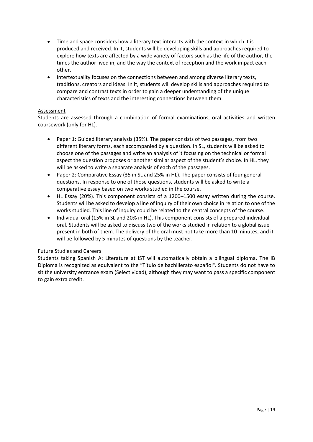- Time and space considers how a literary text interacts with the context in which it is produced and received. In it, students will be developing skills and approaches required to explore how texts are affected by a wide variety of factors such as the life of the author, the times the author lived in, and the way the context of reception and the work impact each other.
- Intertextuality focuses on the connections between and among diverse literary texts, traditions, creators and ideas. In it, students will develop skills and approaches required to compare and contrast texts in order to gain a deeper understanding of the unique characteristics of texts and the interesting connections between them.

# Assessment

Students are assessed through a combination of formal examinations, oral activities and written coursework (only for HL).

- Paper 1: Guided literary analysis (35%). The paper consists of two passages, from two different literary forms, each accompanied by a question. In SL, students will be asked to choose one of the passages and write an analysis of it focusing on the technical or formal aspect the question proposes or another similar aspect of the student's choice. In HL, they will be asked to write a separate analysis of each of the passages.
- Paper 2: Comparative Essay (35 in SL and 25% in HL). The paper consists of four general questions. In response to one of those questions, students will be asked to write a comparative essay based on two works studied in the course.
- HL Essay (20%). This component consists of a 1200–1500 essay written during the course. Students will be asked to develop a line of inquiry of their own choice in relation to one of the works studied. This line of inquiry could be related to the central concepts of the course.
- Individual oral (15% in SL and 20% in HL). This component consists of a prepared individual oral. Students will be asked to discuss two of the works studied in relation to a global issue present in both of them. The delivery of the oral must not take more than 10 minutes, and it will be followed by 5 minutes of questions by the teacher.

# Future Studies and Careers

Students taking Spanish A: Literature at IST will automatically obtain a bilingual diploma. The IB Diploma is recognized as equivalent to the "Título de bachillerato español". Students do not have to sit the university entrance exam (Selectividad), although they may want to pass a specific component to gain extra credit.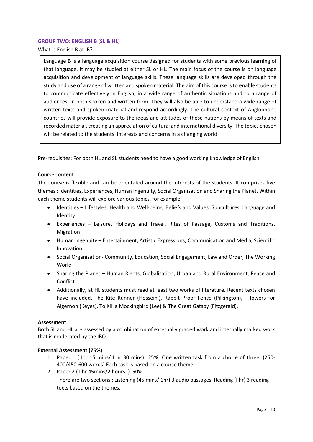# <span id="page-19-0"></span>**GROUP TWO: ENGLISH B (SL & HL)**

What is English B at IB?

Language B is a language acquisition course designed for students with some previous learning of that language. It may be studied at either SL or HL. The main focus of the course is on language acquisition and development of language skills. These language skills are developed through the study and use of a range of written and spoken material. The aim of this course is to enable students to communicate effectively in English, in a wide range of authentic situations and to a range of audiences, in both spoken and written form. They will also be able to understand a wide range of written texts and spoken material and respond accordingly. The cultural context of Anglophone countries will provide exposure to the ideas and attitudes of these nations by means of texts and recorded material, creating an appreciation of cultural and international diversity. The topics chosen will be related to the students' interests and concerns in a changing world.

Pre-requisites: For both HL and SL students need to have a good working knowledge of English.

# Course content

The course is flexible and can be orientated around the interests of the students. It comprises five themes : Identities, Experiences, Human Ingenuity, Social Organisation and Sharing the Planet. Within each theme students will explore various topics, for example:

- Identities Lifestyles, Health and Well-being, Beliefs and Values, Subcultures, Language and Identity
- Experiences Leisure, Holidays and Travel, Rites of Passage, Customs and Traditions, Migration
- Human Ingenuity Entertainment, Artistic Expressions, Communication and Media, Scientific Innovation
- Social Organisation- Community, Education, Social Engagement, Law and Order, The Working World
- Sharing the Planet Human Rights, Globalisation, Urban and Rural Environment, Peace and **Conflict**
- Additionally, at HL students must read at least two works of literature. Recent texts chosen have included, The Kite Runner (Hosseini), Rabbit Proof Fence (Pilkington), Flowers for Algernon (Keyes), To Kill a Mockingbird (Lee) & The Great Gatsby (Fitzgerald).

# **Assessment**

Both SL and HL are assessed by a combination of externally graded work and internally marked work that is moderated by the IBO.

# **External Assessment (75%)**

- 1. Paper 1 ( Ihr 15 mins/ I hr 30 mins) 25% One written task from a choice of three. (250- 400/450-600 words) Each task is based on a course theme.
- 2. Paper 2 ( I hr 45mins/2 hours .) 50%

There are two sections : Listening (45 mins/ 1hr) 3 audio passages. Reading (I hr) 3 reading texts based on the themes.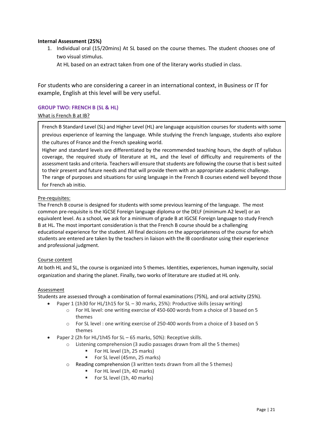# **Internal Assessment (25%)**

1. Individual oral (15/20mins) At SL based on the course themes. The student chooses one of two visual stimulus.

At HL based on an extract taken from one of the literary works studied in class.

For students who are considering a career in an international context, in Business or IT for example, English at this level will be very useful.

# <span id="page-20-0"></span>**GROUP TWO: FRENCH B (SL & HL)**

# What is French B at IB?

French B Standard Level (SL) and Higher Level (HL) are language acquisition courses for students with some previous experience of learning the language. While studying the French language, students also explore the cultures of France and the French speaking world.

Higher and standard levels are differentiated by the recommended teaching hours, the depth of syllabus coverage, the required study of literature at HL, and the level of difficulty and requirements of the assessment tasks and criteria. Teachers will ensure that students are following the course that is best suited to their present and future needs and that will provide them with an appropriate academic challenge. The range of purposes and situations for using language in the French B courses extend well beyond those for French ab initio.

# Pre-requisites:

The French B course is designed for students with some previous learning of the language. The most common pre-requisite is the IGCSE Foreign language diploma or the DELF (minimum A2 level) or an equivalent level. As a school, we ask for a minimum of grade B at IGCSE Foreign language to study French B at HL. The most important consideration is that the French B course should be a challenging educational experience for the student. All final decisions on the appropriateness of the course for which students are entered are taken by the teachers in liaison with the IB coordinator using their experience and professional judgment.

# Course content

At both HL and SL, the course is organized into 5 themes. Identities, experiences, human ingenuity, social organization and sharing the planet. Finally, two works of literature are studied at HL only.

# Assessment

Students are assessed through a combination of formal examinations (75%), and oral activity (25%).

- Paper 1 (1h30 for HL/1h15 for SL 30 marks, 25%): Productive skills (essay writing)
	- o For HL level: one writing exercise of 450-600 words from a choice of 3 based on 5 themes
	- o For SL level : one writing exercise of 250-400 words from a choice of 3 based on 5 themes
- Paper 2 (2h for HL/1h45 for SL 65 marks, 50%): Receptive skills.
	- o Listening comprehension (3 audio passages drawn from all the 5 themes)
		- For HL level (1h, 25 marks)
		- For SL level (45mn, 25 marks)
	- o Reading comprehension (3 written texts drawn from all the 5 themes)
		- For HL level (1h, 40 marks)
		- For SL level (1h, 40 marks)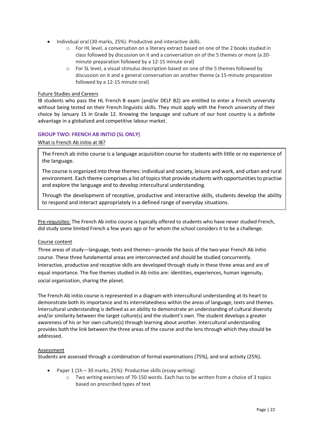- Individual oral (30 marks, 25%). Productive and interactive skills.
	- o For HL level, a conversation on a literary extract based on one of the 2 books studied in class followed by discussion on it and a conversation on of the 5 themes or more (a 20 minute preparation followed by a 12-15 minute oral)
	- o For SL level, a visual stimulus description based on one of the 5 themes followed by discussion on it and a general conversation on another theme (a 15-minute preparation followed by a 12-15 minute oral)

IB students who pass the HL French B exam (and/or DELF B2) are entitled to enter a French university without being tested on their French linguistic skills. They must apply with the French university of their choice by January 15 in Grade 12. Knowing the language and culture of our host country is a definite advantage in a globalized and competitive labour market.

# <span id="page-21-0"></span>**GROUP TWO: FRENCH AB INITIO (SL ONLY)**

#### What is French Ab initio at IB?

The French ab initio course is a language acquisition course for students with little or no experience of the language.

The course is organized into three themes: individual and society, leisure and work, and urban and rural environment. Each theme comprises a list of topics that provide students with opportunities to practise and explore the language and to develop intercultural understanding.

Through the development of receptive, productive and interactive skills, students develop the ability to respond and interact appropriately in a defined range of everyday situations.

Pre-requisites: The French Ab initio course is typically offered to students who have never studied French, did study some limited French a few years ago or for whom the school considers it to be a challenge.

#### Course content

Three areas of study—language, texts and themes—provide the basis of the two-year French Ab initio course. These three fundamental areas are interconnected and should be studied concurrently. Interactive, productive and receptive skills are developed through study in these three areas and are of equal importance. The five themes studied in Ab initio are: identities, experiences, human ingenuity, social organization, sharing the planet.

The French Ab initio course is represented in a diagram with intercultural understanding at its heart to demonstrate both its importance and its interrelatedness within the areas of language, texts and themes. Intercultural understanding is defined as an ability to demonstrate an understanding of cultural diversity and/or similarity between the target culture(s) and the student's own. The student develops a greater awareness of his or her own culture(s) through learning about another. Intercultural understanding provides both the link between the three areas of the course and the lens through which they should be addressed.

#### Assessment

Students are assessed through a combination of formal examinations (75%), and oral activity (25%).

- Paper 1 (1h 30 marks, 25%): Productive skills (essay writing)
	- $\circ$  Two writing exercises of 70-150 words. Each has to be written from a choice of 3 topics based on prescribed types of text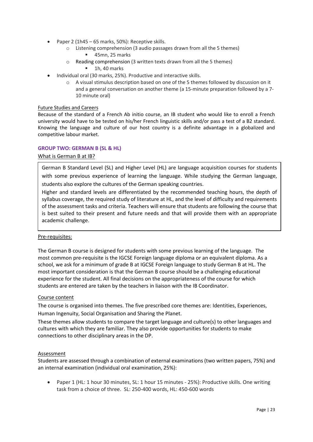- Paper 2 (1h45 65 marks, 50%): Receptive skills.
	- o Listening comprehension (3 audio passages drawn from all the 5 themes) ■ 45mn, 25 marks
	- o Reading comprehension (3 written texts drawn from all the 5 themes)
		- $\blacksquare$  1h, 40 marks
- Individual oral (30 marks, 25%). Productive and interactive skills.
	- o A visual stimulus description based on one of the 5 themes followed by discussion on it and a general conversation on another theme (a 15-minute preparation followed by a 7- 10 minute oral)

Because of the standard of a French Ab initio course, an IB student who would like to enroll a French university would have to be tested on his/her French linguistic skills and/or pass a test of a B2 standard. Knowing the language and culture of our host country is a definite advantage in a globalized and competitive labour market.

# <span id="page-22-0"></span>**GROUP TWO: GERMAN B (SL & HL)**

# What is German B at IB?

German B Standard Level (SL) and Higher Level (HL) are language acquisition courses for students with some previous experience of learning the language. While studying the German language, students also explore the cultures of the German speaking countries.

Higher and standard levels are differentiated by the recommended teaching hours, the depth of syllabus coverage, the required study of literature at HL, and the level of difficulty and requirements of the assessment tasks and criteria. Teachers will ensure that students are following the course that is best suited to their present and future needs and that will provide them with an appropriate academic challenge.

#### Pre-requisites:

The German B course is designed for students with some previous learning of the language. The most common pre-requisite is the IGCSE Foreign language diploma or an equivalent diploma. As a school, we ask for a minimum of grade B at IGCSE Foreign language to study German B at HL. The most important consideration is that the German B course should be a challenging educational experience for the student. All final decisions on the appropriateness of the course for which students are entered are taken by the teachers in liaison with the IB Coordinator.

#### Course content

The course is organised into themes. The five prescribed core themes are: Identities, Experiences, Human Ingenuity, Social Organisation and Sharing the Planet.

These themes allow students to compare the target language and culture(s) to other languages and cultures with which they are familiar. They also provide opportunities for students to make connections to other disciplinary areas in the DP.

#### Assessment

Students are assessed through a combination of external examinations (two written papers, 75%) and an internal examination (individual oral examination, 25%):

• Paper 1 (HL: 1 hour 30 minutes, SL: 1 hour 15 minutes - 25%): Productive skills. One writing task from a choice of three. SL: 250-400 words, HL: 450-600 words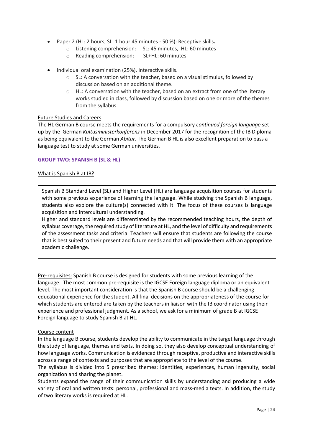- Paper 2 (HL: 2 hours, SL: 1 hour 45 minutes 50 %): Receptive skills**.** 
	- o Listening comprehension: SL: 45 minutes, HL: 60 minutes
	- o Reading comprehension: SL+HL: 60 minutes
- Individual oral examination (25%). Interactive skills.
	- o SL: A conversation with the teacher, based on a visual stimulus, followed by discussion based on an additional theme.
	- $\circ$  HL: A conversation with the teacher, based on an extract from one of the literary works studied in class, followed by discussion based on one or more of the themes from the syllabus.

The HL German B course meets the requirements for a compulsory *continued foreign language* set up by the German *Kultusministerkonferenz* in December 2017 for the recognition of the IB Diploma as being equivalent to the German *Abitur*. The German B HL is also excellent preparation to pass a language test to study at some German universities.

#### <span id="page-23-0"></span>**GROUP TWO: SPANISH B (SL & HL)**

#### What is Spanish B at IB?

Spanish B Standard Level (SL) and Higher Level (HL) are language acquisition courses for students with some previous experience of learning the language. While studying the Spanish B language, students also explore the culture(s) connected with it. The focus of these courses is language acquisition and intercultural understanding.

Higher and standard levels are differentiated by the recommended teaching hours, the depth of syllabus coverage, the required study of literature at HL, and the level of difficulty and requirements of the assessment tasks and criteria. Teachers will ensure that students are following the course that is best suited to their present and future needs and that will provide them with an appropriate academic challenge.

Pre-requisites: Spanish B course is designed for students with some previous learning of the language. The most common pre-requisite is the IGCSE Foreign language diploma or an equivalent level. The most important consideration is that the Spanish B course should be a challenging educational experience for the student. All final decisions on the appropriateness of the course for which students are entered are taken by the teachers in liaison with the IB coordinator using their experience and professional judgment. As a school, we ask for a minimum of grade B at IGCSE Foreign language to study Spanish B at HL.

#### Course content

In the language B course, students develop the ability to communicate in the target language through the study of language, themes and texts. In doing so, they also develop conceptual understanding of how language works. Communication is evidenced through receptive, productive and interactive skills across a range of contexts and purposes that are appropriate to the level of the course.

The syllabus is divided into 5 prescribed themes: identities, experiences, human ingenuity, social organization and sharing the planet.

Students expand the range of their communication skills by understanding and producing a wide variety of oral and written texts: personal, professional and mass-media texts. In addition, the study of two literary works is required at HL.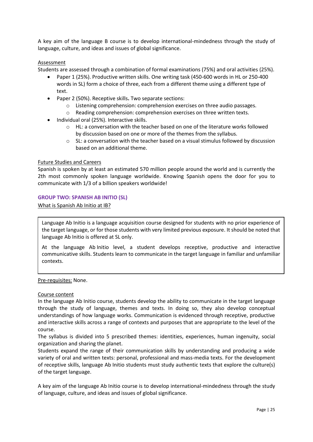A key aim of the language B course is to develop international-mindedness through the study of language, culture, and ideas and issues of global significance.

# Assessment

Students are assessed through a combination of formal examinations (75%) and oral activities (25%).

- Paper 1 (25%). Productive written skills. One writing task (450-600 words in HL or 250-400 words in SL) form a choice of three, each from a different theme using a different type of text.
- Paper 2 (50%). Receptive skills**.** Two separate sections:
	- o Listening comprehension: comprehension exercises on three audio passages.
	- o Reading comprehension: comprehension exercises on three written texts.
- Individual oral (25%). Interactive skills.
	- o HL: a conversation with the teacher based on one of the literature works followed by discussion based on one or more of the themes from the syllabus.
	- $\circ$  SL: a conversation with the teacher based on a visual stimulus followed by discussion based on an additional theme.

# Future Studies and Careers

Spanish is spoken by at least an estimated 570 million people around the world and is currently the 2th most commonly spoken language worldwide. Knowing Spanish opens the door for you to communicate with 1/3 of a billion speakers worldwide!

#### <span id="page-24-0"></span>**GROUP TWO: SPANISH AB INITIO (SL)**

What is Spanish Ab Initio at IB?

Language Ab Initio is a language acquisition course designed for students with no prior experience of the target language, or for those students with very limited previous exposure. It should be noted that language Ab Initio is offered at SL only.

At the language Ab Initio level, a student develops receptive, productive and interactive communicative skills. Students learn to communicate in the target language in familiar and unfamiliar contexts.

Pre-requisites: None.

#### Course content

In the language Ab Initio course, students develop the ability to communicate in the target language through the study of language, themes and texts. In doing so, they also develop conceptual understandings of how language works. Communication is evidenced through receptive, productive and interactive skills across a range of contexts and purposes that are appropriate to the level of the course.

The syllabus is divided into 5 prescribed themes: identities, experiences, human ingenuity, social organization and sharing the planet.

Students expand the range of their communication skills by understanding and producing a wide variety of oral and written texts: personal, professional and mass-media texts. For the development of receptive skills, language Ab Initio students must study authentic texts that explore the culture(s) of the target language.

A key aim of the language Ab Initio course is to develop international-mindedness through the study of language, culture, and ideas and issues of global significance.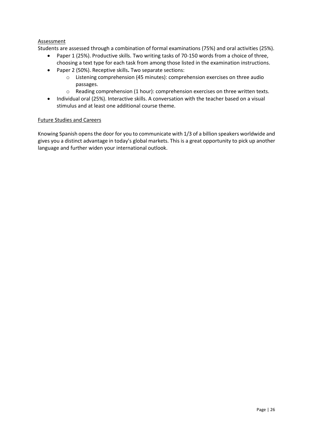# **Assessment**

Students are assessed through a combination of formal examinations (75%) and oral activities (25%).

- Paper 1 (25%). Productive skills. Two writing tasks of 70-150 words from a choice of three, choosing a text type for each task from among those listed in the examination instructions.
- Paper 2 (50%). Receptive skills**.** Two separate sections:
	- o Listening comprehension (45 minutes): comprehension exercises on three audio passages.
	- o Reading comprehension (1 hour): comprehension exercises on three written texts.
- Individual oral (25%). Interactive skills. A conversation with the teacher based on a visual stimulus and at least one additional course theme.

#### Future Studies and Careers

Knowing Spanish opens the door for you to communicate with 1/3 of a billion speakers worldwide and gives you a distinct advantage in today's global markets. This is a great opportunity to pick up another language and further widen your international outlook.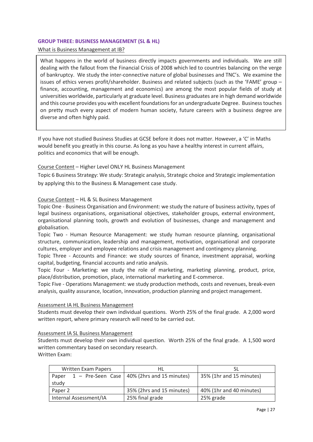#### <span id="page-26-0"></span>**GROUP THREE: BUSINESS MANAGEMENT (SL & HL)**

# What is Business Management at IB?

What happens in the world of business directly impacts governments and individuals. We are still dealing with the fallout from the Financial Crisis of 2008 which led to countries balancing on the verge of bankruptcy. We study the inter-connective nature of global businesses and TNC's. We examine the issues of ethics verves profit/shareholder. Business and related subjects (such as the 'FAME' group – finance, accounting, management and economics) are among the most popular fields of study at universities worldwide, particularly at graduate level. Business graduates are in high demand worldwide and this course provides you with excellent foundations for an undergraduate Degree. Business touches on pretty much every aspect of modern human society, future careers with a business degree are diverse and often highly paid.

If you have not studied Business Studies at GCSE before it does not matter. However, a 'C' in Maths would benefit you greatly in this course. As long as you have a healthy interest in current affairs, politics and economics that will be enough.

# Course Content – Higher Level ONLY HL Business Management

Topic 6 Business Strategy: We study: Strategic analysis, Strategic choice and Strategic implementation by applying this to the Business & Management case study.

# Course Content – HL & SL Business Management

Topic One - Business Organisation and Environment: we study the nature of business activity, types of legal business organisations, organisational objectives, stakeholder groups, external environment, organisational planning tools, growth and evolution of businesses, change and management and globalisation.

Topic Two - Human Resource Management: we study human resource planning, organisational structure, communication, leadership and management, motivation, organisational and corporate cultures, employer and employee relations and crisis management and contingency planning.

Topic Three - Accounts and Finance: we study sources of finance, investment appraisal, working capital, budgeting, financial accounts and ratio analysis.

Topic Four - Marketing: we study the role of marketing, marketing planning, product, price, place/distribution, promotion, place, international marketing and E-commerce.

Topic Five - Operations Management: we study production methods, costs and revenues, break-even analysis, quality assurance, location, innovation, production planning and project management.

# Assessment IA HL Business Management

Students must develop their own individual questions. Worth 25% of the final grade. A 2,000 word written report, where primary research will need to be carried out.

# Assessment IA SL Business Management

Students must develop their own individual question. Worth 25% of the final grade. A 1,500 word written commentary based on secondary research. Written Exam:

| <b>Written Exam Papers</b> | нı                                              |                          |
|----------------------------|-------------------------------------------------|--------------------------|
| Paper<br>study             | $1 -$ Pre-Seen Case   40% (2hrs and 15 minutes) | 35% (1hr and 15 minutes) |
| Paper 2                    | 35% (2hrs and 15 minutes)                       | 40% (1hr and 40 minutes) |
| Internal Assessment/IA     | 25% final grade                                 | 25% grade                |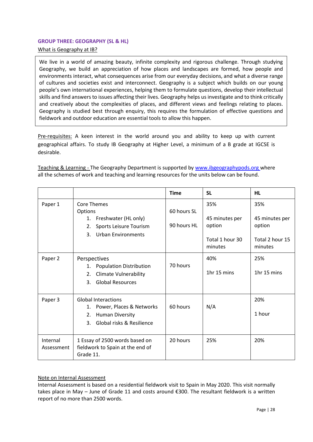#### <span id="page-27-0"></span>**GROUP THREE: GEOGRAPHY (SL & HL)**

What is Geography at IB?

We live in a world of amazing beauty, infinite complexity and rigorous challenge. Through studying Geography, we build an appreciation of how places and landscapes are formed, how people and environments interact, what consequences arise from our everyday decisions, and what a diverse range of cultures and societies exist and interconnect. Geography is a subject which builds on our young people's own international experiences, helping them to formulate questions, develop their intellectual skills and find answers to issues affecting their lives. Geography helps us investigate and to think critically and creatively about the complexities of places, and different views and feelings relating to places. Geography is studied best through enquiry, this requires the formulation of effective questions and fieldwork and outdoor education are essential tools to allow this happen.

Pre-requisites: A keen interest in the world around you and ability to keep up with current geographical affairs. To study IB Geography at Higher Level, a minimum of a B grade at IGCSE is desirable.

Teaching & Learning - The Geography Department is supported by [www.ibgeographypods.org](http://www.ibgeographypods.org/) where all the schemes of work and teaching and learning resources for the units below can be found.

|                        |                                                                                                                                 | <b>Time</b>                | <b>SL</b>                                                     | HL                                                            |
|------------------------|---------------------------------------------------------------------------------------------------------------------------------|----------------------------|---------------------------------------------------------------|---------------------------------------------------------------|
| Paper 1                | <b>Core Themes</b><br>Options<br>1. Freshwater (HL only)<br>Sports Leisure Tourism<br>2.<br><b>Urban Environments</b><br>3.     | 60 hours SL<br>90 hours HL | 35%<br>45 minutes per<br>option<br>Total 1 hour 30<br>minutes | 35%<br>45 minutes per<br>option<br>Total 2 hour 15<br>minutes |
| Paper 2                | Perspectives<br>1. Population Distribution<br><b>Climate Vulnerability</b><br>2.<br><b>Global Resources</b><br>3.               | 70 hours                   | 40%<br>1hr 15 mins                                            | 25%<br>1hr 15 mins                                            |
| Paper 3                | <b>Global Interactions</b><br>Power, Places & Networks<br>1.<br><b>Human Diversity</b><br>2.<br>Global risks & Resilience<br>3. | 60 hours                   | N/A                                                           | 20%<br>1 hour                                                 |
| Internal<br>Assessment | 1 Essay of 2500 words based on<br>fieldwork to Spain at the end of<br>Grade 11.                                                 | 20 hours                   | 25%                                                           | 20%                                                           |

# Note on Internal Assessment

Internal Assessment is based on a residential fieldwork visit to Spain in May 2020. This visit normally takes place in May – June of Grade 11 and costs around €300. The resultant fieldwork is a written report of no more than 2500 words.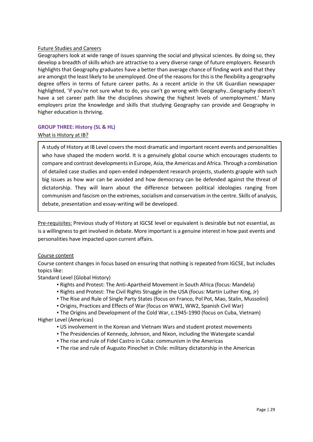Geographers look at wide range of issues spanning the social and physical sciences. By doing so, they develop a breadth of skills which are attractive to a very diverse range of future employers. Research highlights that Geography graduates have a better than average chance of finding work and that they are amongst the least likely to be unemployed. One of the reasons for this is the flexibility a geography degree offers in terms of future career paths. As a recent article in the UK Guardian newspaper highlighted, 'if you're not sure what to do, you can't go wrong with Geography…Geography doesn't have a set career path like the disciplines showing the highest levels of unemployment.' Many employers prize the knowledge and skills that studying Geography can provide and Geography in higher education is thriving.

# <span id="page-28-0"></span>**GROUP THREE: History (SL & HL)**

# What is History at IB?

A study of History at IB Level covers the most dramatic and important recent events and personalities who have shaped the modern world. It is a genuinely global course which encourages students to compare and contrast developments in Europe, Asia, the Americas and Africa. Through a combination of detailed case studies and open-ended independent research projects, students grapple with such big issues as how war can be avoided and how democracy can be defended against the threat of dictatorship. They will learn about the difference between political ideologies ranging from communism and fascism on the extremes, socialism and conservatism in the centre. Skills of analysis, debate, presentation and essay-writing will be developed.

Pre-requisites: Previous study of History at IGCSE level or equivalent is desirable but not essential, as is a willingness to get involved in debate. More important is a genuine interest in how past events and personalities have impacted upon current affairs.

# Course content

Course content changes in focus based on ensuring that nothing is repeated from IGCSE, but includes topics like:

# Standard Level (Global History)

- Rights and Protest: The Anti-Apartheid Movement in South Africa (focus: Mandela)
- Rights and Protest: The Civil Rights Struggle in the USA (focus: Martin Luther King, Jr)
- The Rise and Rule of Single Party States (focus on Franco, Pol Pot, Mao, Stalin, Mussolini)
- Origins, Practices and Effects of War (focus on WW1, WW2, Spanish Civil War)
- The Origins and Development of the Cold War, c.1945-1990 (focus on Cuba, Vietnam)

Higher Level (Americas)

- US involvement in the Korean and Vietnam Wars and student protest movements
- The Presidencies of Kennedy, Johnson, and Nixon, including the Watergate scandal
- **The rise and rule of Fidel Castro in Cuba: communism in the Americas**
- The rise and rule of Augusto Pinochet in Chile: military dictatorship in the Americas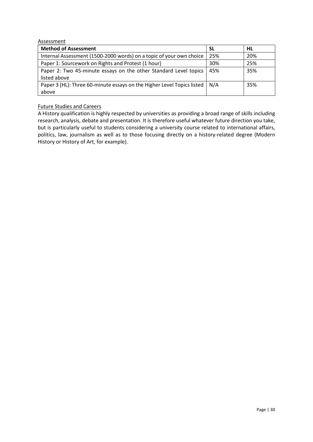| Assessment                                                             |           |     |
|------------------------------------------------------------------------|-----------|-----|
| <b>Method of Assessment</b>                                            | <b>SL</b> | HL  |
| Internal Assessment (1500-2000 words) on a topic of your own choice    | 25%       | 20% |
| Paper 1: Sourcework on Rights and Protest (1 hour)                     | 30%       | 25% |
| Paper 2: Two 45-minute essays on the other Standard Level topics       | 45%       | 35% |
| listed above                                                           |           |     |
| Paper 3 (HL): Three 60-minute essays on the Higher Level Topics listed | N/A       | 35% |
| above                                                                  |           |     |

A History qualification is highly respected by universities as providing a broad range of skills including research, analysis, debate and presentation. It is therefore useful whatever future direction you take, but is particularly useful to students considering a university course related to international affairs, politics, law, journalism as well as to those focusing directly on a history-related degree (Modern History or History of Art, for example).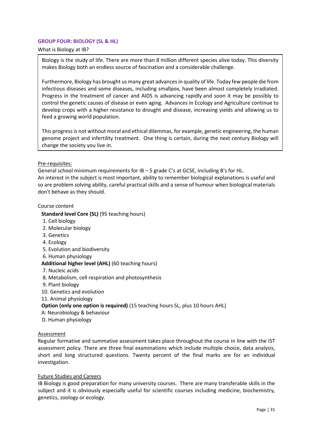# <span id="page-30-0"></span>**GROUP FOUR: BIOLOGY (SL & HL)**

What is Biology at IB?

Biology is the study of life. There are more than 8 million different species alive today. This diversity makes Biology both an endless source of fascination and a considerable challenge.

Furthermore, Biology has brought us many great advances in quality of life. Today few people die from infectious diseases and some diseases, including smallpox, have been almost completely irradiated. Progress in the treatment of cancer and AIDS is advancing rapidly and soon it may be possibly to control the genetic causes of disease or even aging. Advances in Ecology and Agriculture continue to develop crops with a higher resistance to drought and disease, increasing yields and allowing us to feed a growing world population.

This progress is not without moral and ethical dilemmas, for example, genetic engineering, the human genome project and infertility treatment. One thing is certain, during the next century Biology will change the society you live in.

#### Pre-requisites:

General school minimum requirements for IB – 5 grade C's at GCSE, including B's for HL. An interest in the subject is most important, ability to remember biological explanations is useful and so are problem solving ability, careful practical skills and a sense of humour when biological materials don't behave as they should.

#### Course content

#### **Standard level Core (SL)** (95 teaching hours)

- 1. Cell biology
- 2. Molecular biology
- 3. Genetics
- 4. Ecology
- 5. Evolution and biodiversity
- 6. Human physiology

# **Additional higher level (AHL)** (60 teaching hours)

- 7. Nucleic acids
- 8. Metabolism, cell respiration and photosynthesis
- 9. Plant biology
- 10. Genetics and evolution
- 11. Animal physiology

# **Option (only one option is required)** (15 teaching hours SL, plus 10 hours AHL)

- A: Neurobiology & behaviour
- D. Human physiology

#### Assessment

Regular formative and summative assessment takes place throughout the course in line with the IST assessment policy. There are three final examinations which include multiple choice, data analysis, short and long structured questions. Twenty percent of the final marks are for an individual investigation.

# Future Studies and Careers

IB Biology is good preparation for many university courses. There are many transferable skills in the subject and it is obviously especially useful for scientific courses including medicine, biochemistry, genetics, zoology or ecology.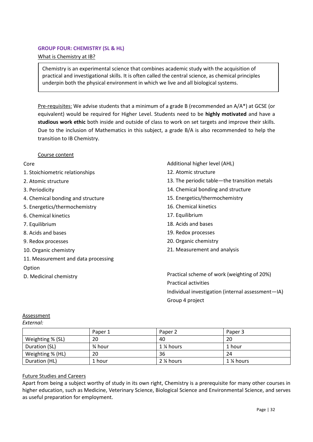# <span id="page-31-0"></span>**GROUP FOUR: CHEMISTRY (SL & HL)**

# What is Chemistry at IB?

Chemistry is an experimental science that combines academic study with the acquisition of practical and investigational skills. It is often called the central science, as chemical principles underpin both the physical environment in which we live and all biological systems.

Pre-requisites: We advise students that a minimum of a grade B (recommended an A/A\*) at GCSE (or equivalent) would be required for Higher Level. Students need to be **highly motivated** and have a **studious work ethic** both inside and outside of class to work on set targets and improve their skills. Due to the inclusion of Mathematics in this subject, a grade B/A is also recommended to help the transition to IB Chemistry.

# Course content

# Core

- 1. Stoichiometric relationships
- 2. Atomic structure
- 3. Periodicity
- 4. Chemical bonding and structure
- 5. Energetics/thermochemistry
- 6. Chemical kinetics
- 7. Equilibrium
- 8. Acids and bases
- 9. Redox processes
- 10. Organic chemistry
- 11. Measurement and data processing

# Option

- Additional higher level (AHL)
- 12. Atomic structure
- 13. The periodic table—the transition metals
- 14. Chemical bonding and structure
- 15. Energetics/thermochemistry
- 16. Chemical kinetics
- 17. Equilibrium
- 18. Acids and bases
- 19. Redox processes
- 20. Organic chemistry
- 21. Measurement and analysis

D. Medicinal chemistry **Practical scheme of work (weighting of 20%)** Practical activities Individual investigation (internal assessment—IA) Group 4 project

# **Assessment**

*External:*

|                  | Paper 1 | Paper 2   | Paper 3   |
|------------------|---------|-----------|-----------|
| Weighting % (SL) | 20      | 40        | 20        |
| Duration (SL)    | ¾ hour  | 1 % hours | 1 hour    |
| Weighting % (HL) | 20      | 36        | 24        |
| Duration (HL)    | 1 hour  | 2 ¼ hours | 1 % hours |

# Future Studies and Careers

Apart from being a subject worthy of study in its own right, Chemistry is a prerequisite for many other courses in higher education, such as Medicine, Veterinary Science, Biological Science and Environmental Science, and serves as useful preparation for employment.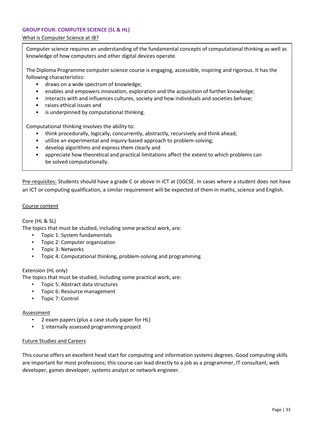# <span id="page-32-0"></span>**GROUP FOUR: COMPUTER SCIENCE (SL & HL)**

# What is Computer Science at IB?

Computer science requires an understanding of the fundamental concepts of computational thinking as well as knowledge of how computers and other digital devices operate.

The Diploma Programme computer science course is engaging, accessible, inspiring and rigorous. It has the following characteristics:

- draws on a wide spectrum of knowledge;
- enables and empowers innovation, exploration and the acquisition of further knowledge;
- interacts with and influences cultures, society and how individuals and societies behave;
- raises ethical issues and
- is underpinned by computational thinking.

Computational thinking involves the ability to:

- think procedurally, logically, concurrently, abstractly, recursively and think ahead;
- utilize an experimental and inquiry-based approach to problem-solving;
- develop algorithms and express them clearly and
- appreciate how theoretical and practical limitations affect the extent to which problems can be solved computationally.

Pre-requisites: Students should have a grade C or above in ICT at (I)GCSE. In cases where a student does not have an ICT or computing qualification, a similar requirement will be expected of them in maths, science and English.

#### Course content

# Core (HL & SL)

The topics that must be studied, including some practical work, are:

- Topic 1: System fundamentals
- Topic 2: Computer organization
- Topic 3: Networks
- Topic 4: Computational thinking, problem-solving and programming

# Extension (HL only)

The topics that must be studied, including some practical work, are:

- Topic 5: Abstract data structures
- Topic 6: Resource management
- Topic 7: Control

# Assessment

- 2 exam papers (plus a case study paper for HL)
- 1 internally assessed programming project

#### Future Studies and Careers

This course offers an excellent head start for computing and information systems degrees. Good computing skills are important for most professions; this course can lead directly to a job as a programmer, IT consultant, web developer, games developer, systems analyst or network engineer.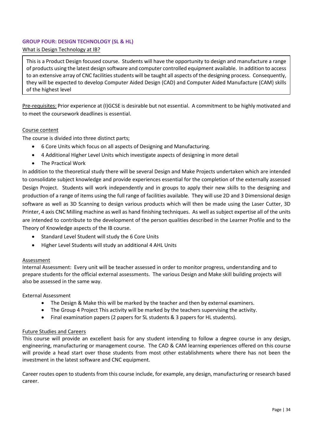# <span id="page-33-0"></span>**GROUP FOUR: DESIGN TECHNOLOGY (SL & HL)**

# What is Design Technology at IB?

This is a Product Design focused course. Students will have the opportunity to design and manufacture a range of products using the latest design software and computer controlled equipment available. In addition to access to an extensive array of CNC facilities students will be taught all aspects of the designing process. Consequently, they will be expected to develop Computer Aided Design (CAD) and Computer Aided Manufacture (CAM) skills of the highest level

Pre-requisites: Prior experience at (I)GCSE is desirable but not essential. A commitment to be highly motivated and to meet the coursework deadlines is essential.

# Course content

The course is divided into three distinct parts;

- 6 Core Units which focus on all aspects of Designing and Manufacturing.
- 4 Additional Higher Level Units which investigate aspects of designing in more detail
- The Practical Work

In addition to the theoretical study there will be several Design and Make Projects undertaken which are intended to consolidate subject knowledge and provide experiences essential for the completion of the externally assessed Design Project. Students will work independently and in groups to apply their new skills to the designing and production of a range of items using the full range of facilities available. They will use 2D and 3 Dimensional design software as well as 3D Scanning to design various products which will then be made using the Laser Cutter, 3D Printer, 4 axis CNC Milling machine as well as hand finishing techniques. As well as subject expertise all of the units are intended to contribute to the development of the person qualities described in the Learner Profile and to the Theory of Knowledge aspects of the IB course.

- Standard Level Student will study the 6 Core Units
- Higher Level Students will study an additional 4 AHL Units

# **Assessment**

Internal Assessment:Every unit will be teacher assessed in order to monitor progress, understanding and to prepare students for the official external assessments. The various Design and Make skill building projects will also be assessed in the same way.

#### External Assessment

- The Design & Make this will be marked by the teacher and then by external examiners.
- The Group 4 Project This activity will be marked by the teachers supervising the activity.
- Final examination papers (2 papers for SL students & 3 papers for HL students).

# Future Studies and Careers

This course will provide an excellent basis for any student intending to follow a degree course in any design, engineering, manufacturing or management course. The CAD & CAM learning experiences offered on this course will provide a head start over those students from most other establishments where there has not been the investment in the latest software and CNC equipment.

Career routes open to students from this course include, for example, any design, manufacturing or research based career.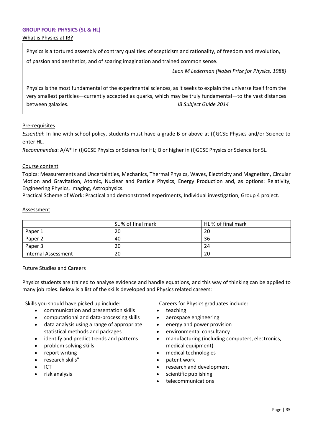# <span id="page-34-0"></span>**GROUP FOUR: PHYSICS (SL & HL)** What is Physics at IB?

Physics is a tortured assembly of contrary qualities: of scepticism and rationality, of freedom and revolution, of passion and aesthetics, and of soaring imagination and trained common sense.

*Leon M Lederman (Nobel Prize for Physics, 1988)*

Physics is the most fundamental of the experimental sciences, as it seeks to explain the universe itself from the very smallest particles—currently accepted as quarks, which may be truly fundamental—to the vast distances between galaxies. *IB Subject Guide 2014*

# Pre-requisites

*Essential*: In line with school policy, students must have a grade B or above at (I)GCSE Physics and/or Science to enter HL.

*Recommended*: A/A\* in (I)GCSE Physics or Science for HL; B or higher in (I)GCSE Physics or Science for SL.

#### Course content

Topics: Measurements and Uncertainties, Mechanics, Thermal Physics, Waves, Electricity and Magnetism, Circular Motion and Gravitation, Atomic, Nuclear and Particle Physics, Energy Production and, as options: Relativity, Engineering Physics, Imaging, Astrophysics.

Practical Scheme of Work: Practical and demonstrated experiments, Individual investigation, Group 4 project.

#### **Assessment**

|                     | SL % of final mark | HL % of final mark |
|---------------------|--------------------|--------------------|
| Paper 1             | 20                 | 20                 |
| Paper 2             | 40                 | 36                 |
| Paper 3             | 20                 | 24                 |
| Internal Assessment | 20                 | 20                 |

# Future Studies and Careers

Physics students are trained to analyse evidence and handle equations, and this way of thinking can be applied to many job roles. Below is a list of the skills developed and Physics related careers:

Skills you should have picked up include:

- communication and presentation skills
- computational and data-processing skills
- data analysis using a range of appropriate statistical methods and packages
- identify and predict trends and patterns
- problem solving skills
- report writing
- research skills"
- ICT
- risk analysis

Careers for Physics graduates include:

- teaching
- aerospace engineering
- energy and power provision
- environmental consultancy
- manufacturing (including computers, electronics, medical equipment)
- medical technologies
- patent work
- research and development
- scientific publishing
- telecommunications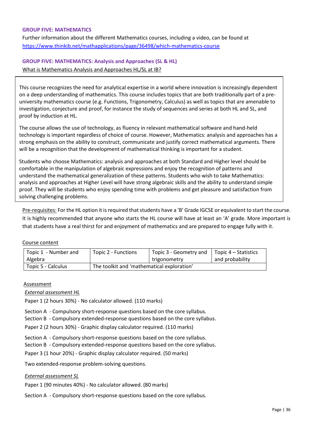#### <span id="page-35-0"></span>**GROUP FIVE: MATHEMATICS**

Further information about the different Mathematics courses, including a video, can be found at <https://www.thinkib.net/mathapplications/page/36498/which-mathematics-course>

# **GROUP FIVE: MATHEMATICS: Analysis and Approaches (SL & HL)**

What is Mathematics Analysis and Approaches HL/SL at IB?

This course recognizes the need for analytical expertise in a world where innovation is increasingly dependent on a deep understanding of mathematics. This course includes topics that are both traditionally part of a preuniversity mathematics course (e.g. Functions, Trigonometry, Calculus) as well as topics that are amenable to investigation, conjecture and proof, for instance the study of sequences and series at both HL and SL, and proof by induction at HL.

The course allows the use of technology, as fluency in relevant mathematical software and hand-held technology is important regardless of choice of course. However, Mathematics: analysis and approaches has a strong emphasis on the ability to construct, communicate and justify correct mathematical arguments. There will be a recognition that the development of mathematical thinking is important for a student.

Students who choose Mathematics: analysis and approaches at both Standard and Higher level should be comfortable in the manipulation of algebraic expressions and enjoy the recognition of patterns and understand the mathematical generalization of these patterns. Students who wish to take Mathematics: analysis and approaches at Higher Level will have strong algebraic skills and the ability to understand simple proof. They will be students who enjoy spending time with problems and get pleasure and satisfaction from solving challenging problems.

Pre-requisites: For the HL option it is required that students have a 'B' Grade IGCSE or equivalent to start the course. It is highly recommended that anyone who starts the HL course will have at least an 'A' grade. More important is that students have a real thirst for and enjoyment of mathematics and are prepared to engage fully with it.

# Course content

| Topic 1 - Number and | Topic 2 - Functions                        | Topic 3 - Geometry and | Topic $4$ – Statistics |
|----------------------|--------------------------------------------|------------------------|------------------------|
| Algebra              |                                            | trigonometry           | and probability        |
| Topic 5 - Calculus   | The toolkit and 'mathematical exploration' |                        |                        |

# **Assessment**

# *External assessment HL*

Paper 1 (2 hours 30%) - No calculator allowed. (110 marks)

Section A - Compulsory short-response questions based on the core syllabus.

Section B - Compulsory extended-response questions based on the core syllabus.

Paper 2 (2 hours 30%) - Graphic display calculator required. (110 marks)

Section A - Compulsory short-response questions based on the core syllabus.

Section B - Compulsory extended-response questions based on the core syllabus.

Paper 3 (1 hour 20%) - Graphic display calculator required. (50 marks)

Two extended-response problem-solving questions.

# *External assessment SL*

Paper 1 (90 minutes 40%) - No calculator allowed. (80 marks)

Section A - Compulsory short-response questions based on the core syllabus.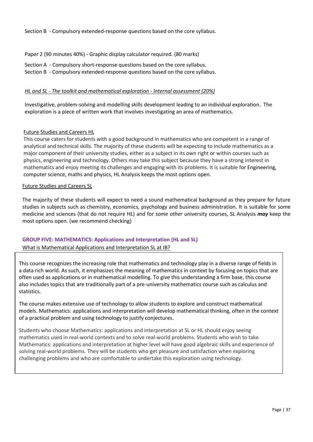Section B - Compulsory extended-response questions based on the core syllabus.

Paper 2 (90 minutes 40%) - Graphic display calculator required. (80 marks)

- Section A Compulsory short-response questions based on the core syllabus.
- Section B Compulsory extended-response questions based on the core syllabus.

# *HL and SL - The toolkit and mathematical exploration - Internal assessment (20%)*

Investigative, problem-solving and modelling skills development leading to an individual exploration. The exploration is a piece of written work that involves investigating an area of mathematics.

# Future Studies and Careers HL

This course caters for students with a good background in mathematics who are competent in a range of analytical and technical skills. The majority of these students will be expecting to include mathematics as a major component of their university studies, either as a subject in its own right or within courses such as physics, engineering and technology. Others may take this subject because they have a strong interest in mathematics and enjoy meeting its challenges and engaging with its problems. It is suitable for Engineering, computer science, maths and physics, HL Analysis keeps the most options open.

#### Future Studies and Careers SL

The majority of these students will expect to need a sound mathematical background as they prepare for future studies in subjects such as chemistry, economics, psychology and business administration. It is suitable for some medicine and sciences (that do not require HL) and for *some other* university courses, SL Analysis *may* keep the most options open. (we recommend checking)

# **GROUP FIVE: MATHEMATICS: Applications and Interpretation (HL and SL)**

What is Mathematical Applications and Interpretation SL at IB?

This course recognizes the increasing role that mathematics and technology play in a diverse range of fields in a data rich world. As such, it emphasizes the meaning of mathematics in context by focusing on topics that are often used as applications or in mathematical modelling. To give this understanding a firm base, this course also includes topics that are traditionally part of a pre-university mathematics course such as calculus and statistics.

The course makes extensive use of technology to allow students to explore and construct mathematical models. Mathematics: applications and interpretation will develop mathematical thinking, often in the context of a practical problem and using technology to justify conjectures.

Students who choose Mathematics: applications and interpretation at SL or HL should enjoy seeing mathematics used in real-world contexts and to solve real-world problems. Students who wish to take Mathematics: applications and interpretation at higher level will have good algebraic skills and experience of solving real-world problems. They will be students who get pleasure and satisfaction when exploring challenging problems and who are comfortable to undertake this exploration using technology.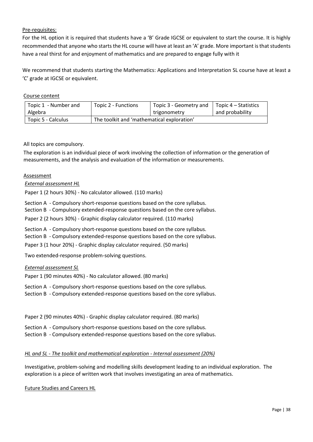# Pre-requisites:

For the HL option it is required that students have a 'B' Grade IGCSE or equivalent to start the course. It is highly recommended that anyone who starts the HL course will have at least an 'A' grade. More important is that students have a real thirst for and enjoyment of mathematics and are prepared to engage fully with it

We recommend that students starting the Mathematics: Applications and Interpretation SL course have at least a 'C' grade at IGCSE or equivalent.

Course content

| Topic 1 - Number and | Topic 2 - Functions                        | Topic 3 - Geometry and | Topic 4 – Statistics |
|----------------------|--------------------------------------------|------------------------|----------------------|
| Algebra              |                                            | trigonometry           | and probability      |
| Topic 5 - Calculus   | The toolkit and 'mathematical exploration' |                        |                      |

# All topics are compulsory.

The exploration is an individual piece of work involving the collection of information or the generation of measurements, and the analysis and evaluation of the information or measurements.

# Assessment

# *External assessment HL*

Paper 1 (2 hours 30%) - No calculator allowed. (110 marks)

Section A - Compulsory short-response questions based on the core syllabus.

Section B - Compulsory extended-response questions based on the core syllabus.

Paper 2 (2 hours 30%) - Graphic display calculator required. (110 marks)

Section A - Compulsory short-response questions based on the core syllabus.

Section B - Compulsory extended-response questions based on the core syllabus.

Paper 3 (1 hour 20%) - Graphic display calculator required. (50 marks)

Two extended-response problem-solving questions.

# *External assessment SL*

Paper 1 (90 minutes 40%) - No calculator allowed. (80 marks)

Section A - Compulsory short-response questions based on the core syllabus.

Section B - Compulsory extended-response questions based on the core syllabus.

Paper 2 (90 minutes 40%) - Graphic display calculator required. (80 marks)

Section A - Compulsory short-response questions based on the core syllabus.

Section B - Compulsory extended-response questions based on the core syllabus.

# *HL and SL - The toolkit and mathematical exploration - Internal assessment (20%)*

Investigative, problem-solving and modelling skills development leading to an individual exploration. The exploration is a piece of written work that involves investigating an area of mathematics.

Future Studies and Careers HL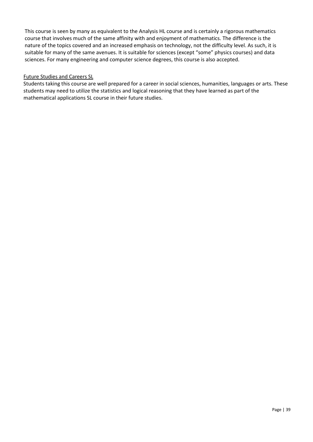This course is seen by many as equivalent to the Analysis HL course and is certainly a rigorous mathematics course that involves much of the same affinity with and enjoyment of mathematics. The difference is the nature of the topics covered and an increased emphasis on technology, not the difficulty level. As such, it is suitable for many of the same avenues. It is suitable for sciences (except "some" physics courses) and data sciences. For many engineering and computer science degrees, this course is also accepted.

# Future Studies and Careers SL

<span id="page-38-0"></span>Students taking this course are well prepared for a career in social sciences, humanities, languages or arts. These students may need to utilize the statistics and logical reasoning that they have learned as part of the mathematical applications SL course in their future studies.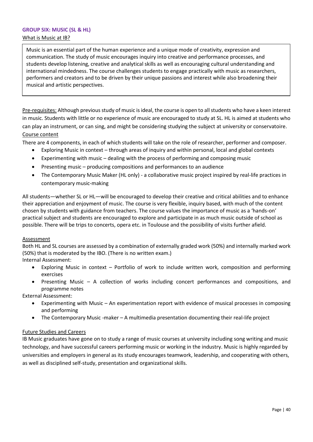#### <span id="page-39-0"></span>**GROUP SIX: MUSIC (SL & HL)**

#### What is Music at IB?

Music is an essential part of the human experience and a unique mode of creativity, expression and communication. The study of music encourages inquiry into creative and performance processes, and students develop listening, creative and analytical skills as well as encouraging cultural understanding and international mindedness. The course challenges students to engage practically with music as researchers, performers and creators and to be driven by their unique passions and interest while also broadening their musical and artistic perspectives.

Pre-requisites: Although previous study of music is ideal, the course is open to all students who have a keen interest in music. Students with little or no experience of music are encouraged to study at SL. HL is aimed at students who can play an instrument, or can sing, and might be considering studying the subject at university or conservatoire. Course content

There are 4 components, in each of which students will take on the role of researcher, performer and composer.

- Exploring Music in context through areas of inquiry and within personal, local and global contexts
- Experimenting with music dealing with the process of performing and composing music
- Presenting music producing compositions and performances to an audience
- The Contemporary Music Maker (HL only) a collaborative music project inspired by real-life practices in contemporary music-making

All students—whether SL or HL—will be encouraged to develop their creative and critical abilities and to enhance their appreciation and enjoyment of music. The course is very flexible, inquiry based, with much of the content chosen by students with guidance from teachers. The course values the importance of music as a 'hands-on' practical subject and students are encouraged to explore and participate in as much music outside of school as possible. There will be trips to concerts, opera etc. in Toulouse and the possibility of visits further afield.

# Assessment

Both HL and SL courses are assessed by a combination of externally graded work (50%) and internally marked work (50%) that is moderated by the IBO. (There is no written exam.)

Internal Assessment:

- Exploring Music in context Portfolio of work to include written work, composition and performing exercises
- Presenting Music A collection of works including concert performances and compositions, and programme notes

External Assessment:

- Experimenting with Music An experimentation report with evidence of musical processes in composing and performing
- The Contemporary Music -maker A multimedia presentation documenting their real-life project

# Future Studies and Careers

IB Music graduates have gone on to study a range of music courses at university including song writing and music technology, and have successful careers performing music or working in the industry. Music is highly regarded by universities and employers in general as its study encourages teamwork, leadership, and cooperating with others, as well as disciplined self-study, presentation and organizational skills.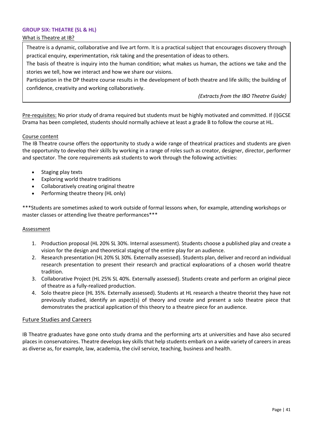# **GROUP SIX: THEATRE (SL & HL)**

#### What is Theatre at IB?

Theatre is a dynamic, collaborative and live art form. It is a practical subject that encourages discovery through practical enquiry, experimentation, risk taking and the presentation of ideas to others.

The basis of theatre is inquiry into the human condition; what makes us human, the actions we take and the stories we tell, how we interact and how we share our visions.

Participation in the DP theatre course results in the development of both theatre and life skills; the building of confidence, creativity and working collaboratively.

*(Extracts from the IBO Theatre Guide)* 

Pre-requisites: No prior study of drama required but students must be highly motivated and committed. If (I)GCSE Drama has been completed, students should normally achieve at least a grade B to follow the course at HL.

# Course content

The IB Theatre course offers the opportunity to study a wide range of theatrical practices and students are given the opportunity to develop their skills by working in a range of roles such as creator, designer, director, performer and spectator. The core requirements ask students to work through the following activities:

- Staging play texts
- Exploring world theatre traditions
- Collaboratively creating original theatre
- Performing theatre theory (HL only)

\*\*\*Students are sometimes asked to work outside of formal lessons when, for example, attending workshops or master classes or attending live theatre performances\*\*\*

#### Assessment

- 1. Production proposal (HL 20% SL 30%. Internal assessment). Students choose a published play and create a vision for the design and theoretical staging of the entire play for an audience.
- 2. Research presentation (HL 20% SL 30%. Externally assessed). Students plan, deliver and record an individual research presentation to present their research and practical exploarations of a chosen world theatre tradition.
- 3. Collaborative Project (HL 25% SL 40%. Externally assessed). Students create and perform an original piece of theatre as a fully-realized production.
- 4. Solo theatre piece (HL 35%. Externally assessed). Students at HL research a theatre theorist they have not previously studied, identify an aspect(s) of theory and create and present a solo theatre piece that demonstrates the practical application of this theory to a theatre piece for an audience.

#### Future Studies and Careers

IB Theatre graduates have gone onto study drama and the performing arts at universities and have also secured places in conservatoires. Theatre develops key skills that help students embark on a wide variety of careers in areas as diverse as, for example, law, academia, the civil service, teaching, business and health.